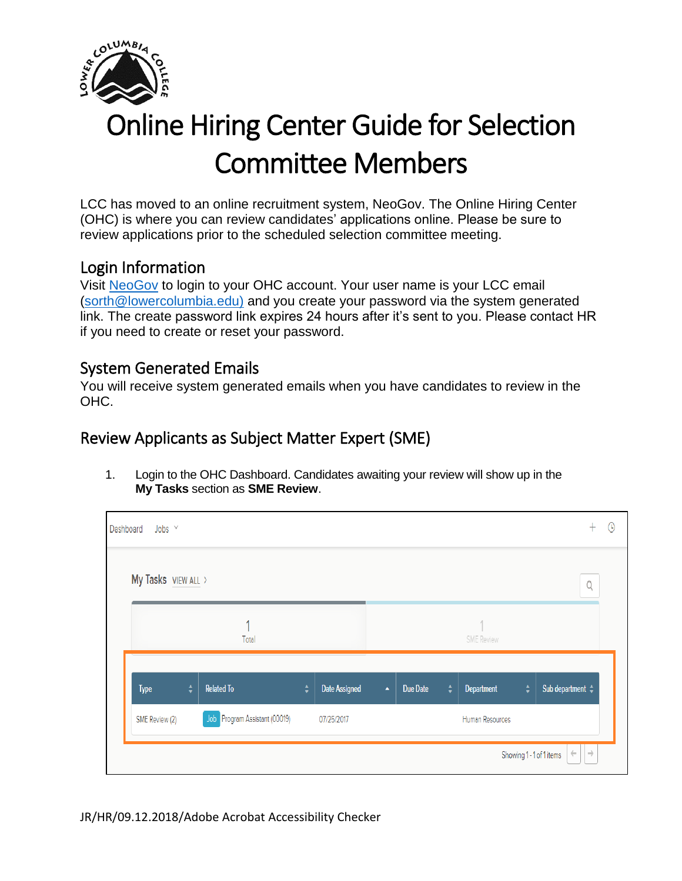

## Online Hiring Center Guide for Selection Committee Members

LCC has moved to an online recruitment system, NeoGov. The Online Hiring Center (OHC) is where you can review candidates' applications online. Please be sure to review applications prior to the scheduled selection committee meeting.

## Login Information

Visit [NeoGov](https://secure.neogov.com/insight/login.cfm) to login to your OHC account. Your user name is your LCC email [\(sorth@lowercolumbia.edu\)](mailto:sorth@lowercolumbia.edu)) and you create your password via the system generated link. The create password link expires 24 hours after it's sent to you. Please contact HR if you need to create or reset your password.

## System Generated Emails

You will receive system generated emails when you have candidates to review in the OHC.

## Review Applicants as Subject Matter Expert (SME)

1. Login to the OHC Dashboard. Candidates awaiting your review will show up in the **My Tasks** section as **SME Review**.

| Dashboard<br>Jobs $\vee$ |        |                               |        |               |                  |          |        |                   |               |                                                           |
|--------------------------|--------|-------------------------------|--------|---------------|------------------|----------|--------|-------------------|---------------|-----------------------------------------------------------|
| My Tasks VIEW ALL >      |        |                               |        |               |                  |          |        |                   |               | Q                                                         |
|                          |        | Total                         |        |               |                  |          |        | <b>SME</b> Review |               |                                                           |
| Type                     | $\div$ | <b>Related To</b>             | $\div$ | Date Assigned | $\blacktriangle$ | Due Date | $\div$ | Department        | $\frac{4}{7}$ | Sub department $\div$                                     |
| SME Review (2)           |        | Job Program Assistant (00019) |        | 07/25/2017    |                  |          |        | Human Resources   |               |                                                           |
|                          |        |                               |        |               |                  |          |        |                   |               | $\rightarrow$<br>$\leftarrow$<br>Showing 1 - 1 of 1 items |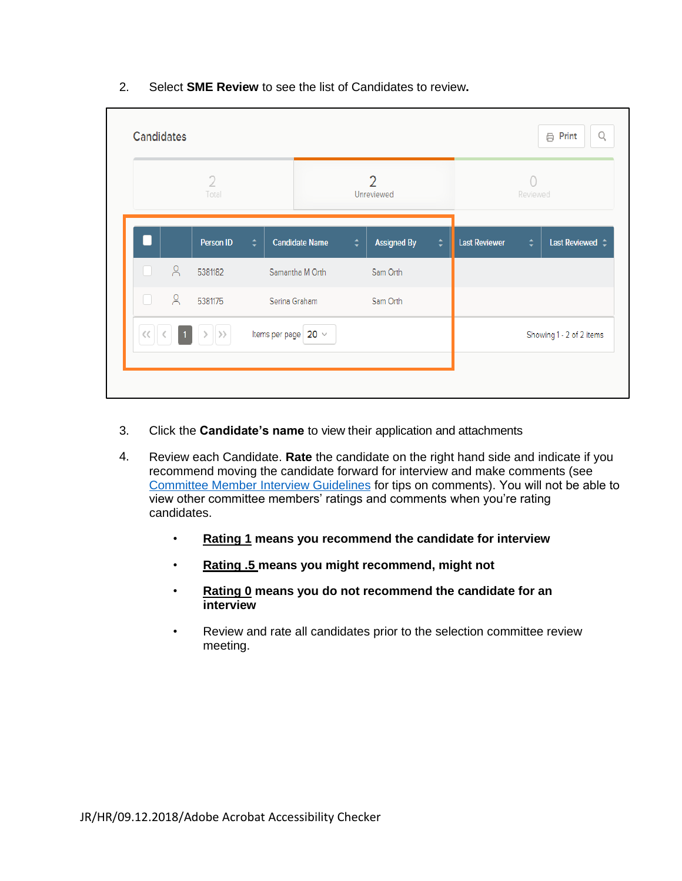| 2. | Select <b>SME Review</b> to see the list of Candidates to review. |
|----|-------------------------------------------------------------------|
|----|-------------------------------------------------------------------|

|       |         | $\overline{2}$<br>Total |        |                          |        | 2<br>Unreviewed    |    |                      | Reviewed |                          |
|-------|---------|-------------------------|--------|--------------------------|--------|--------------------|----|----------------------|----------|--------------------------|
|       |         | Person ID               | $\div$ | <b>Candidate Name</b>    | $\div$ | <b>Assigned By</b> | ∴≑ | <b>Last Reviewer</b> | ÷        | Last Reviewed $\div$     |
|       | $\beta$ | 5381182                 |        | Samantha M Orth          |        | Sam Orth           |    |                      |          |                          |
| П     | $\beta$ | 5381175                 |        | Serina Graham            |        | Sam Orth           |    |                      |          |                          |
| $\ll$ |         |                         |        | Items per page $20 \sim$ |        |                    |    |                      |          | Showing 1 - 2 of 2 items |

- 3. Click the **Candidate's name** to view their application and attachments
- 4. Review each Candidate. **Rate** the candidate on the right hand side and indicate if you recommend moving the candidate forward for interview and make comments (see Co[mmittee Member Interview Guidelines](http://internal.lowercolumbia.edu/departments/human-resources/_assets/documents/CommitteeMemberInterviewGuidelines.pdf) for tips on comments). You will not be able to view other committee members' ratings and comments when you're rating candidates.
	- **Rating 1 means you recommend the candidate for interview**
	- **Rating .5 means you might recommend, might not**
	- **Rating 0 means you do not recommend the candidate for an interview**
	- Review and rate all candidates prior to the selection committee review meeting.